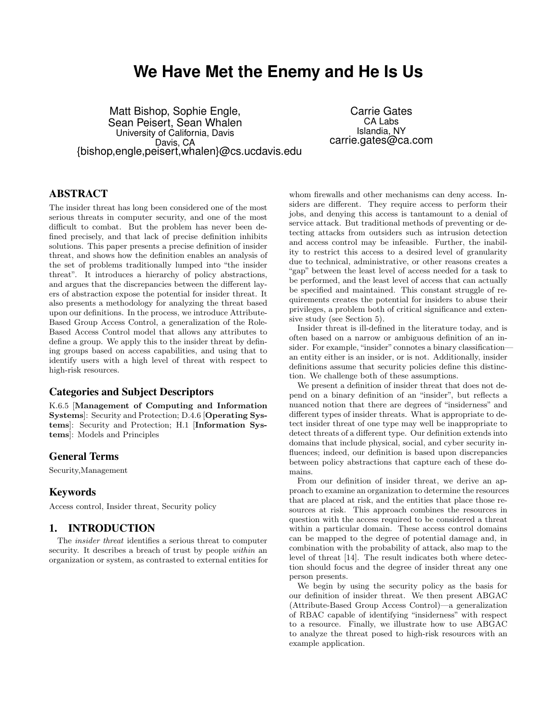# **We Have Met the Enemy and He Is Us**

Matt Bishop, Sophie Engle, Sean Peisert, Sean Whalen University of California, Davis Davis, CA {bishop,engle,peisert,whalen}@cs.ucdavis.edu

Carrie Gates CA Labs Islandia, NY carrie.gates@ca.com

# ABSTRACT

The insider threat has long been considered one of the most serious threats in computer security, and one of the most difficult to combat. But the problem has never been defined precisely, and that lack of precise definition inhibits solutions. This paper presents a precise definition of insider threat, and shows how the definition enables an analysis of the set of problems traditionally lumped into "the insider threat". It introduces a hierarchy of policy abstractions, and argues that the discrepancies between the different layers of abstraction expose the potential for insider threat. It also presents a methodology for analyzing the threat based upon our definitions. In the process, we introduce Attribute-Based Group Access Control, a generalization of the Role-Based Access Control model that allows any attributes to define a group. We apply this to the insider threat by defining groups based on access capabilities, and using that to identify users with a high level of threat with respect to high-risk resources.

# Categories and Subject Descriptors

K.6.5 [Management of Computing and Information Systems]: Security and Protection; D.4.6 [Operating Systems]: Security and Protection; H.1 [Information Systems]: Models and Principles

# General Terms

Security,Management

# Keywords

Access control, Insider threat, Security policy

# 1. INTRODUCTION

The insider threat identifies a serious threat to computer security. It describes a breach of trust by people within an organization or system, as contrasted to external entities for whom firewalls and other mechanisms can deny access. Insiders are different. They require access to perform their jobs, and denying this access is tantamount to a denial of service attack. But traditional methods of preventing or detecting attacks from outsiders such as intrusion detection and access control may be infeasible. Further, the inability to restrict this access to a desired level of granularity due to technical, administrative, or other reasons creates a "gap" between the least level of access needed for a task to be performed, and the least level of access that can actually be specified and maintained. This constant struggle of requirements creates the potential for insiders to abuse their privileges, a problem both of critical significance and extensive study (see Section 5).

Insider threat is ill-defined in the literature today, and is often based on a narrow or ambiguous definition of an insider. For example, "insider" connotes a binary classificationan entity either is an insider, or is not. Additionally, insider definitions assume that security policies define this distinction. We challenge both of these assumptions.

We present a definition of insider threat that does not depend on a binary definition of an "insider", but reflects a nuanced notion that there are degrees of "insiderness" and different types of insider threats. What is appropriate to detect insider threat of one type may well be inappropriate to detect threats of a different type. Our definition extends into domains that include physical, social, and cyber security influences; indeed, our definition is based upon discrepancies between policy abstractions that capture each of these domains.

From our definition of insider threat, we derive an approach to examine an organization to determine the resources that are placed at risk, and the entities that place those resources at risk. This approach combines the resources in question with the access required to be considered a threat within a particular domain. These access control domains can be mapped to the degree of potential damage and, in combination with the probability of attack, also map to the level of threat [14]. The result indicates both where detection should focus and the degree of insider threat any one person presents.

We begin by using the security policy as the basis for our definition of insider threat. We then present ABGAC (Attribute-Based Group Access Control)—a generalization of RBAC capable of identifying "insiderness" with respect to a resource. Finally, we illustrate how to use ABGAC to analyze the threat posed to high-risk resources with an example application.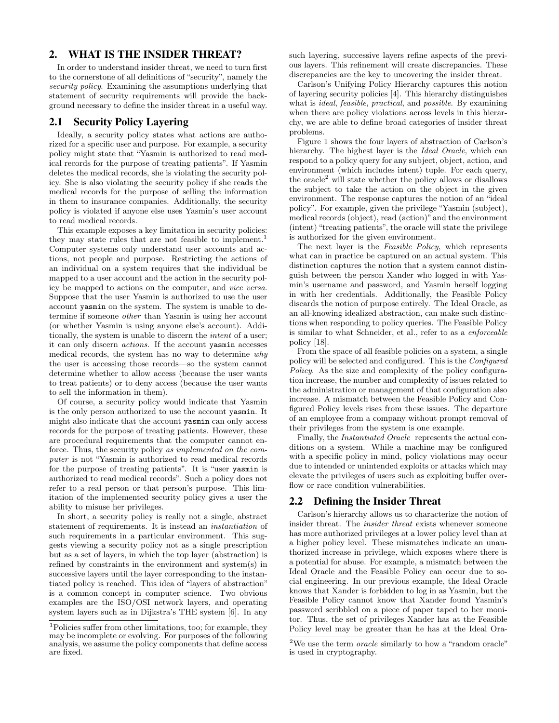### 2. WHAT IS THE INSIDER THREAT?

In order to understand insider threat, we need to turn first to the cornerstone of all definitions of "security", namely the security policy. Examining the assumptions underlying that statement of security requirements will provide the background necessary to define the insider threat in a useful way.

#### 2.1 Security Policy Layering

Ideally, a security policy states what actions are authorized for a specific user and purpose. For example, a security policy might state that "Yasmin is authorized to read medical records for the purpose of treating patients". If Yasmin deletes the medical records, she is violating the security policy. She is also violating the security policy if she reads the medical records for the purpose of selling the information in them to insurance companies. Additionally, the security policy is violated if anyone else uses Yasmin's user account to read medical records.

This example exposes a key limitation in security policies: they may state rules that are not feasible to implement.<sup>1</sup> Computer systems only understand user accounts and actions, not people and purpose. Restricting the actions of an individual on a system requires that the individual be mapped to a user account and the action in the security policy be mapped to actions on the computer, and vice versa. Suppose that the user Yasmin is authorized to use the user account yasmin on the system. The system is unable to determine if someone other than Yasmin is using her account (or whether Yasmin is using anyone else's account). Additionally, the system is unable to discern the intent of a user; it can only discern actions. If the account yasmin accesses medical records, the system has no way to determine why the user is accessing those records—so the system cannot determine whether to allow access (because the user wants to treat patients) or to deny access (because the user wants to sell the information in them).

Of course, a security policy would indicate that Yasmin is the only person authorized to use the account yasmin. It might also indicate that the account yasmin can only access records for the purpose of treating patients. However, these are procedural requirements that the computer cannot enforce. Thus, the security policy as implemented on the computer is not "Yasmin is authorized to read medical records for the purpose of treating patients". It is "user yasmin is authorized to read medical records". Such a policy does not refer to a real person or that person's purpose. This limitation of the implemented security policy gives a user the ability to misuse her privileges.

In short, a security policy is really not a single, abstract statement of requirements. It is instead an instantiation of such requirements in a particular environment. This suggests viewing a security policy not as a single prescription but as a set of layers, in which the top layer (abstraction) is refined by constraints in the environment and system(s) in successive layers until the layer corresponding to the instantiated policy is reached. This idea of "layers of abstraction" is a common concept in computer science. Two obvious examples are the ISO/OSI network layers, and operating system layers such as in Dijkstra's THE system [6]. In any

such layering, successive layers refine aspects of the previous layers. This refinement will create discrepancies. These discrepancies are the key to uncovering the insider threat.

Carlson's Unifying Policy Hierarchy captures this notion of layering security policies [4]. This hierarchy distinguishes what is *ideal, feasible, practical*, and *possible*. By examining when there are policy violations across levels in this hierarchy, we are able to define broad categories of insider threat problems.

Figure 1 shows the four layers of abstraction of Carlson's hierarchy. The highest layer is the Ideal Oracle, which can respond to a policy query for any subject, object, action, and environment (which includes intent) tuple. For each query, the oracle<sup>2</sup> will state whether the policy allows or disallows the subject to take the action on the object in the given environment. The response captures the notion of an "ideal policy". For example, given the privilege "Yasmin (subject), medical records (object), read (action)" and the environment (intent) "treating patients", the oracle will state the privilege is authorized for the given environment.

The next layer is the Feasible Policy, which represents what can in practice be captured on an actual system. This distinction captures the notion that a system cannot distinguish between the person Xander who logged in with Yasmin's username and password, and Yasmin herself logging in with her credentials. Additionally, the Feasible Policy discards the notion of purpose entirely. The Ideal Oracle, as an all-knowing idealized abstraction, can make such distinctions when responding to policy queries. The Feasible Policy is similar to what Schneider, et al., refer to as a enforceable policy [18].

From the space of all feasible policies on a system, a single policy will be selected and configured. This is the Configured Policy. As the size and complexity of the policy configuration increase, the number and complexity of issues related to the administration or management of that configuration also increase. A mismatch between the Feasible Policy and Configured Policy levels rises from these issues. The departure of an employee from a company without prompt removal of their privileges from the system is one example.

Finally, the Instantiated Oracle represents the actual conditions on a system. While a machine may be configured with a specific policy in mind, policy violations may occur due to intended or unintended exploits or attacks which may elevate the privileges of users such as exploiting buffer overflow or race condition vulnerabilities.

# 2.2 Defining the Insider Threat

Carlson's hierarchy allows us to characterize the notion of insider threat. The insider threat exists whenever someone has more authorized privileges at a lower policy level than at a higher policy level. These mismatches indicate an unauthorized increase in privilege, which exposes where there is a potential for abuse. For example, a mismatch between the Ideal Oracle and the Feasible Policy can occur due to social engineering. In our previous example, the Ideal Oracle knows that Xander is forbidden to log in as Yasmin, but the Feasible Policy cannot know that Xander found Yasmin's password scribbled on a piece of paper taped to her monitor. Thus, the set of privileges Xander has at the Feasible Policy level may be greater than he has at the Ideal Ora-

<sup>1</sup>Policies suffer from other limitations, too; for example, they may be incomplete or evolving. For purposes of the following analysis, we assume the policy components that define access are fixed.

 $2$ We use the term *oracle* similarly to how a "random oracle" is used in cryptography.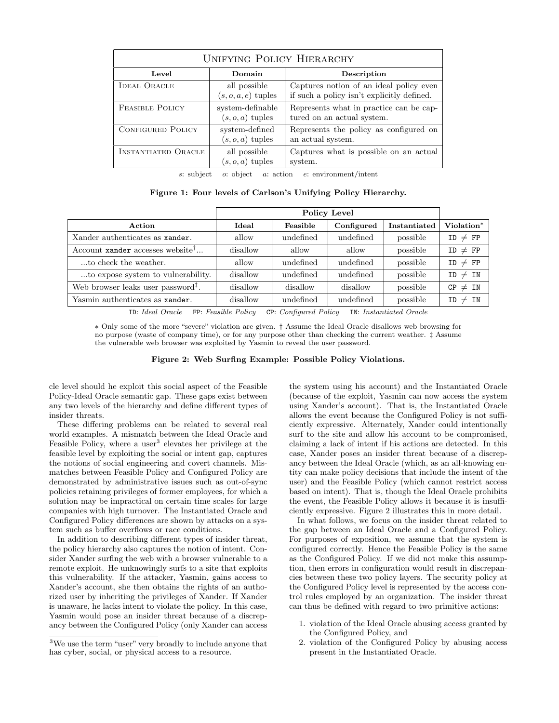| <b>UNIFYING POLICY HIERARCHY</b> |                                        |                                                                                       |  |  |  |  |  |  |
|----------------------------------|----------------------------------------|---------------------------------------------------------------------------------------|--|--|--|--|--|--|
| Level                            | Domain                                 | Description                                                                           |  |  |  |  |  |  |
| <b>IDEAL ORACLE</b>              | all possible<br>$(s, o, a, e)$ tuples  | Captures notion of an ideal policy even<br>if such a policy isn't explicitly defined. |  |  |  |  |  |  |
| <b>FEASIBLE POLICY</b>           | system-definable<br>$(s, o, a)$ tuples | Represents what in practice can be cap-<br>tured on an actual system.                 |  |  |  |  |  |  |
| <b>CONFIGURED POLICY</b>         | system-defined<br>$(s, o, a)$ tuples   | Represents the policy as configured on<br>an actual system.                           |  |  |  |  |  |  |
| <b>INSTANTIATED ORACLE</b>       | all possible<br>$(s, o, a)$ tuples     | Captures what is possible on an actual<br>system.                                     |  |  |  |  |  |  |

s: subject o: object a: action e: environment/intent

Figure 1: Four levels of Carlson's Unifying Policy Hierarchy.

| Ideal    | Feasible  | Configured | Instantiated | Violation*   |
|----------|-----------|------------|--------------|--------------|
| allow    | undefined | undefined  | possible     | $ID \neq FP$ |
| disallow | allow     | allow      | possible     | $ID \neq FP$ |
| allow    | undefined | undefined  | possible     | $ID \neq FP$ |
| disallow | undefined | undefined  | possible     | $ID \neq IN$ |
| disallow | disallow  | disallow   | possible     | $CP \neq IN$ |
| disallow | undefined | undefined  | possible     | $ID \neq IN$ |
|          |           |            | Policy Level |              |

ID: Ideal Oracle FP: Feasible Policy CP: Configured Policy IN: Instantiated Oracle

∗ Only some of the more "severe" violation are given. † Assume the Ideal Oracle disallows web browsing for no purpose (waste of company time), or for any purpose other than checking the current weather. ‡ Assume the vulnerable web browser was exploited by Yasmin to reveal the user password.

Figure 2: Web Surfing Example: Possible Policy Violations.

cle level should he exploit this social aspect of the Feasible Policy-Ideal Oracle semantic gap. These gaps exist between any two levels of the hierarchy and define different types of insider threats.

These differing problems can be related to several real world examples. A mismatch between the Ideal Oracle and Feasible Policy, where a user<sup>3</sup> elevates her privilege at the feasible level by exploiting the social or intent gap, captures the notions of social engineering and covert channels. Mismatches between Feasible Policy and Configured Policy are demonstrated by administrative issues such as out-of-sync policies retaining privileges of former employees, for which a solution may be impractical on certain time scales for large companies with high turnover. The Instantiated Oracle and Configured Policy differences are shown by attacks on a system such as buffer overflows or race conditions.

In addition to describing different types of insider threat, the policy hierarchy also captures the notion of intent. Consider Xander surfing the web with a browser vulnerable to a remote exploit. He unknowingly surfs to a site that exploits this vulnerability. If the attacker, Yasmin, gains access to Xander's account, she then obtains the rights of an authorized user by inheriting the privileges of Xander. If Xander is unaware, he lacks intent to violate the policy. In this case, Yasmin would pose an insider threat because of a discrepancy between the Configured Policy (only Xander can access the system using his account) and the Instantiated Oracle (because of the exploit, Yasmin can now access the system using Xander's account). That is, the Instantiated Oracle allows the event because the Configured Policy is not sufficiently expressive. Alternately, Xander could intentionally surf to the site and allow his account to be compromised, claiming a lack of intent if his actions are detected. In this case, Xander poses an insider threat because of a discrepancy between the Ideal Oracle (which, as an all-knowing entity can make policy decisions that include the intent of the user) and the Feasible Policy (which cannot restrict access based on intent). That is, though the Ideal Oracle prohibits the event, the Feasible Policy allows it because it is insufficiently expressive. Figure 2 illustrates this in more detail.

In what follows, we focus on the insider threat related to the gap between an Ideal Oracle and a Configured Policy. For purposes of exposition, we assume that the system is configured correctly. Hence the Feasible Policy is the same as the Configured Policy. If we did not make this assumption, then errors in configuration would result in discrepancies between these two policy layers. The security policy at the Configured Policy level is represented by the access control rules employed by an organization. The insider threat can thus be defined with regard to two primitive actions:

- 1. violation of the Ideal Oracle abusing access granted by the Configured Policy, and
- 2. violation of the Configured Policy by abusing access present in the Instantiated Oracle.

<sup>3</sup>We use the term "user" very broadly to include anyone that has cyber, social, or physical access to a resource.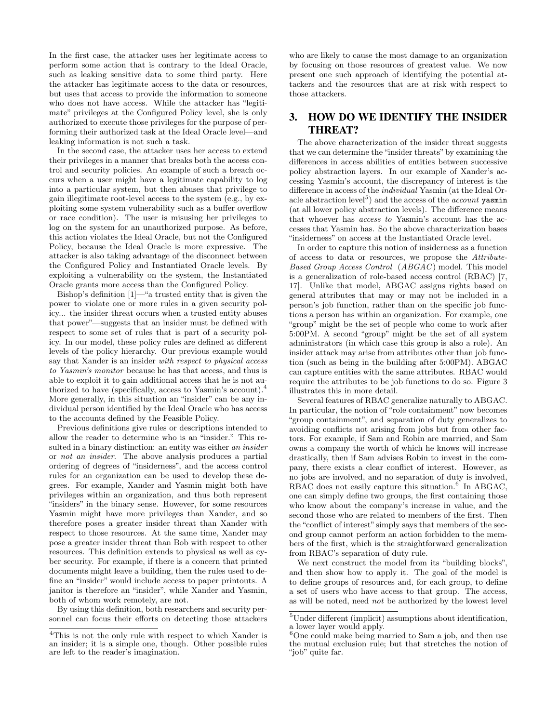In the first case, the attacker uses her legitimate access to perform some action that is contrary to the Ideal Oracle, such as leaking sensitive data to some third party. Here the attacker has legitimate access to the data or resources, but uses that access to provide the information to someone who does not have access. While the attacker has "legitimate" privileges at the Configured Policy level, she is only authorized to execute those privileges for the purpose of performing their authorized task at the Ideal Oracle level—and leaking information is not such a task.

In the second case, the attacker uses her access to extend their privileges in a manner that breaks both the access control and security policies. An example of such a breach occurs when a user might have a legitimate capability to log into a particular system, but then abuses that privilege to gain illegitimate root-level access to the system (e.g., by exploiting some system vulnerability such as a buffer overflow or race condition). The user is misusing her privileges to log on the system for an unauthorized purpose. As before, this action violates the Ideal Oracle, but not the Configured Policy, because the Ideal Oracle is more expressive. The attacker is also taking advantage of the disconnect between the Configured Policy and Instantiated Oracle levels. By exploiting a vulnerability on the system, the Instantiated Oracle grants more access than the Configured Policy.

Bishop's definition [1]—"a trusted entity that is given the power to violate one or more rules in a given security policy... the insider threat occurs when a trusted entity abuses that power"—suggests that an insider must be defined with respect to some set of rules that is part of a security policy. In our model, these policy rules are defined at different levels of the policy hierarchy. Our previous example would say that Xander is an insider with respect to physical access to Yasmin's monitor because he has that access, and thus is able to exploit it to gain additional access that he is not authorized to have (specifically, access to Yasmin's account).<sup>4</sup> More generally, in this situation an "insider" can be any individual person identified by the Ideal Oracle who has access to the accounts defined by the Feasible Policy.

Previous definitions give rules or descriptions intended to allow the reader to determine who is an "insider." This resulted in a binary distinction: an entity was either an insider or not an insider. The above analysis produces a partial ordering of degrees of "insiderness", and the access control rules for an organization can be used to develop these degrees. For example, Xander and Yasmin might both have privileges within an organization, and thus both represent "insiders" in the binary sense. However, for some resources Yasmin might have more privileges than Xander, and so therefore poses a greater insider threat than Xander with respect to those resources. At the same time, Xander may pose a greater insider threat than Bob with respect to other resources. This definition extends to physical as well as cyber security. For example, if there is a concern that printed documents might leave a building, then the rules used to define an "insider" would include access to paper printouts. A janitor is therefore an "insider", while Xander and Yasmin, both of whom work remotely, are not.

By using this definition, both researchers and security personnel can focus their efforts on detecting those attackers who are likely to cause the most damage to an organization by focusing on those resources of greatest value. We now present one such approach of identifying the potential attackers and the resources that are at risk with respect to those attackers.

# 3. HOW DO WE IDENTIFY THE INSIDER THREAT?

The above characterization of the insider threat suggests that we can determine the "insider threats" by examining the differences in access abilities of entities between successive policy abstraction layers. In our example of Xander's accessing Yasmin's account, the discrepancy of interest is the difference in access of the individual Yasmin (at the Ideal Oracle abstraction level<sup>5</sup>) and the access of the *account* yasmin (at all lower policy abstraction levels). The difference means that whoever has access to Yasmin's account has the accesses that Yasmin has. So the above characterization bases "insiderness" on access at the Instantiated Oracle level.

In order to capture this notion of insiderness as a function of access to data or resources, we propose the Attribute-Based Group Access Control (ABGAC) model. This model is a generalization of role-based access control (RBAC) [7, 17]. Unlike that model, ABGAC assigns rights based on general attributes that may or may not be included in a person's job function, rather than on the specific job functions a person has within an organization. For example, one "group" might be the set of people who come to work after 5:00PM. A second "group" might be the set of all system administrators (in which case this group is also a role). An insider attack may arise from attributes other than job function (such as being in the building after 5:00PM). ABGAC can capture entities with the same attributes. RBAC would require the attributes to be job functions to do so. Figure 3 illustrates this in more detail.

Several features of RBAC generalize naturally to ABGAC. In particular, the notion of "role containment" now becomes "group containment", and separation of duty generalizes to avoiding conflicts not arising from jobs but from other factors. For example, if Sam and Robin are married, and Sam owns a company the worth of which he knows will increase drastically, then if Sam advises Robin to invest in the company, there exists a clear conflict of interest. However, as no jobs are involved, and no separation of duty is involved, RBAC does not easily capture this situation.<sup>6</sup> In ABGAC, one can simply define two groups, the first containing those who know about the company's increase in value, and the second those who are related to members of the first. Then the "conflict of interest" simply says that members of the second group cannot perform an action forbidden to the members of the first, which is the straightforward generalization from RBAC's separation of duty rule.

We next construct the model from its "building blocks", and then show how to apply it. The goal of the model is to define groups of resources and, for each group, to define a set of users who have access to that group. The access, as will be noted, need not be authorized by the lowest level

<sup>4</sup>This is not the only rule with respect to which Xander is an insider; it is a simple one, though. Other possible rules are left to the reader's imagination.

 ${}^{5}$ Under different (implicit) assumptions about identification, a lower layer would apply.

 $6$ One could make being married to Sam a job, and then use the mutual exclusion rule; but that stretches the notion of "job" quite far.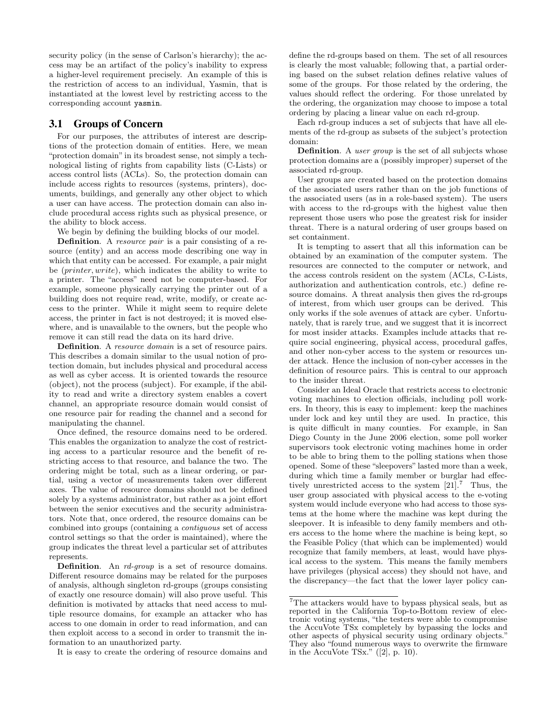security policy (in the sense of Carlson's hierarchy); the access may be an artifact of the policy's inability to express a higher-level requirement precisely. An example of this is the restriction of access to an individual, Yasmin, that is instantiated at the lowest level by restricting access to the corresponding account yasmin.

#### 3.1 Groups of Concern

For our purposes, the attributes of interest are descriptions of the protection domain of entities. Here, we mean "protection domain" in its broadest sense, not simply a technological listing of rights from capability lists (C-Lists) or access control lists (ACLs). So, the protection domain can include access rights to resources (systems, printers), documents, buildings, and generally any other object to which a user can have access. The protection domain can also include procedural access rights such as physical presence, or the ability to block access.

We begin by defining the building blocks of our model.

Definition. A resource pair is a pair consisting of a resource (entity) and an access mode describing one way in which that entity can be accessed. For example, a pair might be (printer, write), which indicates the ability to write to a printer. The "access" need not be computer-based. For example, someone physically carrying the printer out of a building does not require read, write, modify, or create access to the printer. While it might seem to require delete access, the printer in fact is not destroyed; it is moved elsewhere, and is unavailable to the owners, but the people who remove it can still read the data on its hard drive.

Definition. A *resource domain* is a set of resource pairs. This describes a domain similar to the usual notion of protection domain, but includes physical and procedural access as well as cyber access. It is oriented towards the resource (object), not the process (subject). For example, if the ability to read and write a directory system enables a covert channel, an appropriate resource domain would consist of one resource pair for reading the channel and a second for manipulating the channel.

Once defined, the resource domains need to be ordered. This enables the organization to analyze the cost of restricting access to a particular resource and the benefit of restricting access to that resource, and balance the two. The ordering might be total, such as a linear ordering, or partial, using a vector of measurements taken over different axes. The value of resource domains should not be defined solely by a systems administrator, but rather as a joint effort between the senior executives and the security administrators. Note that, once ordered, the resource domains can be combined into groups (containing a contiguous set of access control settings so that the order is maintained), where the group indicates the threat level a particular set of attributes represents.

Definition. An rd-group is a set of resource domains. Different resource domains may be related for the purposes of analysis, although singleton rd-groups (groups consisting of exactly one resource domain) will also prove useful. This definition is motivated by attacks that need access to multiple resource domains, for example an attacker who has access to one domain in order to read information, and can then exploit access to a second in order to transmit the information to an unauthorized party.

It is easy to create the ordering of resource domains and

define the rd-groups based on them. The set of all resources is clearly the most valuable; following that, a partial ordering based on the subset relation defines relative values of some of the groups. For those related by the ordering, the values should reflect the ordering. For those unrelated by the ordering, the organization may choose to impose a total ordering by placing a linear value on each rd-group.

Each rd-group induces a set of subjects that have all elements of the rd-group as subsets of the subject's protection domain:

Definition. A user group is the set of all subjects whose protection domains are a (possibly improper) superset of the associated rd-group.

User groups are created based on the protection domains of the associated users rather than on the job functions of the associated users (as in a role-based system). The users with access to the rd-groups with the highest value then represent those users who pose the greatest risk for insider threat. There is a natural ordering of user groups based on set containment.

It is tempting to assert that all this information can be obtained by an examination of the computer system. The resources are connected to the computer or network, and the access controls resident on the system (ACLs, C-Lists, authorization and authentication controls, etc.) define resource domains. A threat analysis then gives the rd-groups of interest, from which user groups can be derived. This only works if the sole avenues of attack are cyber. Unfortunately, that is rarely true, and we suggest that it is incorrect for most insider attacks. Examples include attacks that require social engineering, physical access, procedural gaffes, and other non-cyber access to the system or resources under attack. Hence the inclusion of non-cyber accesses in the definition of resource pairs. This is central to our approach to the insider threat.

Consider an Ideal Oracle that restricts access to electronic voting machines to election officials, including poll workers. In theory, this is easy to implement: keep the machines under lock and key until they are used. In practice, this is quite difficult in many counties. For example, in San Diego County in the June 2006 election, some poll worker supervisors took electronic voting machines home in order to be able to bring them to the polling stations when those opened. Some of these "sleepovers" lasted more than a week, during which time a family member or burglar had effectively unrestricted access to the system  $[21]$ .<sup>7</sup> Thus, the user group associated with physical access to the e-voting system would include everyone who had access to those systems at the home where the machine was kept during the sleepover. It is infeasible to deny family members and others access to the home where the machine is being kept, so the Feasible Policy (that which can be implemented) would recognize that family members, at least, would have physical access to the system. This means the family members have privileges (physical access) they should not have, and the discrepancy—the fact that the lower layer policy can-

<sup>7</sup>The attackers would have to bypass physical seals, but as reported in the California Top-to-Bottom review of electronic voting systems, "the testers were able to compromise the AccuVote TSx completely by bypassing the locks and other aspects of physical security using ordinary objects." They also "found numerous ways to overwrite the firmware in the AccuVote TSx."  $([2], p. 10)$ .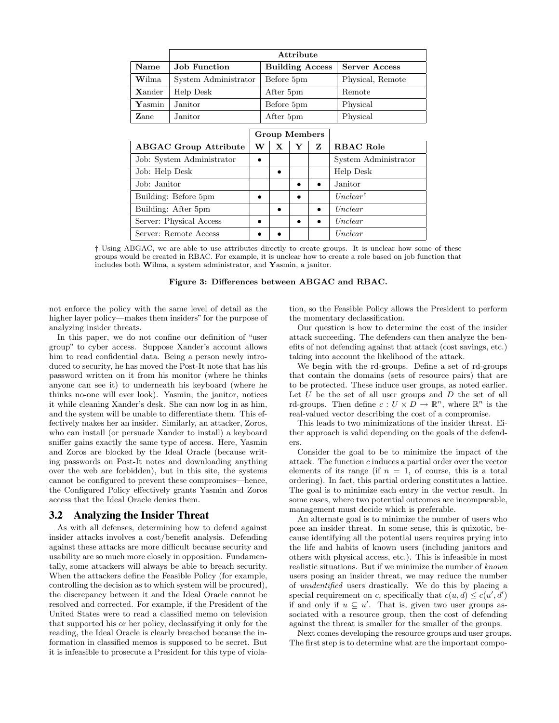|                              | Attribute            |           |                        |   |          |                      |  |  |  |
|------------------------------|----------------------|-----------|------------------------|---|----------|----------------------|--|--|--|
| Name                         | <b>Job Function</b>  |           | <b>Building Access</b> |   |          | <b>Server Access</b> |  |  |  |
| Wilma                        | System Administrator |           | Before 5pm             |   |          | Physical, Remote     |  |  |  |
| <b>X</b> ander               | Help Desk            |           | After 5pm              |   |          | Remote               |  |  |  |
| $\mathbf{Y}$ asmin           | Janitor              |           | Before 5pm             |   |          | Physical             |  |  |  |
| Zane                         | Janitor              | After 5pm |                        |   | Physical |                      |  |  |  |
| <b>Group Members</b>         |                      |           |                        |   |          |                      |  |  |  |
| <b>ABGAC Group Attribute</b> |                      | W         | $\mathbf{x}$           | Y | Z        | <b>RBAC Role</b>     |  |  |  |
| Job: System Administrator    |                      |           |                        |   |          | System Administrator |  |  |  |
| Job: Help Desk               |                      |           |                        |   |          | Help Desk            |  |  |  |
| Job: Janitor                 |                      |           |                        |   |          | Janitor              |  |  |  |
| Building: Before 5pm         |                      |           |                        |   |          | $Unclear^{\dagger}$  |  |  |  |
| Building: After 5pm          |                      |           |                        |   |          | Unclear              |  |  |  |
| Server: Physical Access      |                      |           |                        |   |          | Unclear              |  |  |  |
| Server: Remote Access        |                      |           |                        |   |          | Unclear              |  |  |  |

† Using ABGAC, we are able to use attributes directly to create groups. It is unclear how some of these groups would be created in RBAC. For example, it is unclear how to create a role based on job function that includes both Wilma, a system administrator, and Yasmin, a janitor.

#### Figure 3: Differences between ABGAC and RBAC.

not enforce the policy with the same level of detail as the higher layer policy—makes them insiders" for the purpose of analyzing insider threats.

In this paper, we do not confine our definition of "user group" to cyber access. Suppose Xander's account allows him to read confidential data. Being a person newly introduced to security, he has moved the Post-It note that has his password written on it from his monitor (where he thinks anyone can see it) to underneath his keyboard (where he thinks no-one will ever look). Yasmin, the janitor, notices it while cleaning Xander's desk. She can now log in as him, and the system will be unable to differentiate them. This effectively makes her an insider. Similarly, an attacker, Zoros, who can install (or persuade Xander to install) a keyboard sniffer gains exactly the same type of access. Here, Yasmin and Zoros are blocked by the Ideal Oracle (because writing passwords on Post-It notes and downloading anything over the web are forbidden), but in this site, the systems cannot be configured to prevent these compromises—hence, the Configured Policy effectively grants Yasmin and Zoros access that the Ideal Oracle denies them.

#### 3.2 Analyzing the Insider Threat

As with all defenses, determining how to defend against insider attacks involves a cost/benefit analysis. Defending against these attacks are more difficult because security and usability are so much more closely in opposition. Fundamentally, some attackers will always be able to breach security. When the attackers define the Feasible Policy (for example, controlling the decision as to which system will be procured), the discrepancy between it and the Ideal Oracle cannot be resolved and corrected. For example, if the President of the United States were to read a classified memo on television that supported his or her policy, declassifying it only for the reading, the Ideal Oracle is clearly breached because the information in classified memos is supposed to be secret. But it is infeasible to prosecute a President for this type of violation, so the Feasible Policy allows the President to perform the momentary declassification.

Our question is how to determine the cost of the insider attack succeeding. The defenders can then analyze the benefits of not defending against that attack (cost savings, etc.) taking into account the likelihood of the attack.

We begin with the rd-groups. Define a set of rd-groups that contain the domains (sets of resource pairs) that are to be protected. These induce user groups, as noted earlier. Let  $U$  be the set of all user groups and  $D$  the set of all rd-groups. Then define  $c: U \times D \to \mathbb{R}^n$ , where  $\mathbb{R}^n$  is the real-valued vector describing the cost of a compromise.

This leads to two minimizations of the insider threat. Either approach is valid depending on the goals of the defenders.

Consider the goal to be to minimize the impact of the attack. The function c induces a partial order over the vector elements of its range (if  $n = 1$ , of course, this is a total ordering). In fact, this partial ordering constitutes a lattice. The goal is to minimize each entry in the vector result. In some cases, where two potential outcomes are incomparable, management must decide which is preferable.

An alternate goal is to minimize the number of users who pose an insider threat. In some sense, this is quixotic, because identifying all the potential users requires prying into the life and habits of known users (including janitors and others with physical access, etc.). This is infeasible in most realistic situations. But if we minimize the number of known users posing an insider threat, we may reduce the number of unidentified users drastically. We do this by placing a special requirement on c, specifically that  $c(u, d) \leq c(u', d')$ if and only if  $u \subseteq u'$ . That is, given two user groups associated with a resource group, then the cost of defending against the threat is smaller for the smaller of the groups.

Next comes developing the resource groups and user groups. The first step is to determine what are the important compo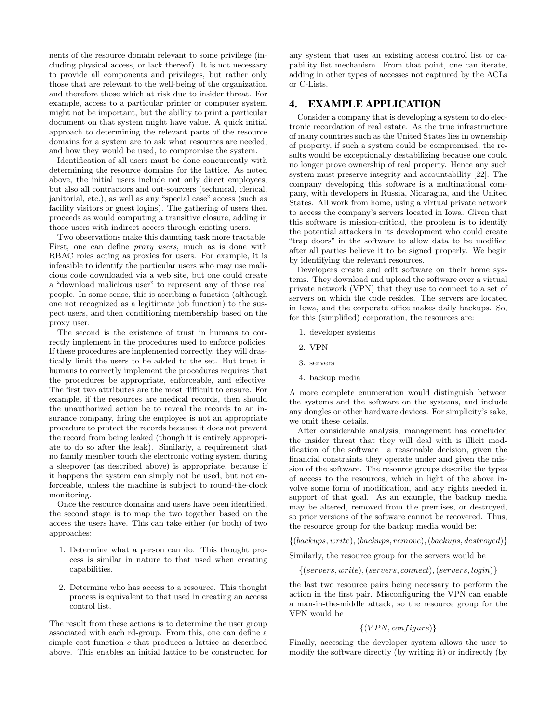nents of the resource domain relevant to some privilege (including physical access, or lack thereof). It is not necessary to provide all components and privileges, but rather only those that are relevant to the well-being of the organization and therefore those which at risk due to insider threat. For example, access to a particular printer or computer system might not be important, but the ability to print a particular document on that system might have value. A quick initial approach to determining the relevant parts of the resource domains for a system are to ask what resources are needed, and how they would be used, to compromise the system.

Identification of all users must be done concurrently with determining the resource domains for the lattice. As noted above, the initial users include not only direct employees, but also all contractors and out-sourcers (technical, clerical, janitorial, etc.), as well as any "special case" access (such as facility visitors or guest logins). The gathering of users then proceeds as would computing a transitive closure, adding in those users with indirect access through existing users.

Two observations make this daunting task more tractable. First, one can define *proxy users*, much as is done with RBAC roles acting as proxies for users. For example, it is infeasible to identify the particular users who may use malicious code downloaded via a web site, but one could create a "download malicious user" to represent any of those real people. In some sense, this is ascribing a function (although one not recognized as a legitimate job function) to the suspect users, and then conditioning membership based on the proxy user.

The second is the existence of trust in humans to correctly implement in the procedures used to enforce policies. If these procedures are implemented correctly, they will drastically limit the users to be added to the set. But trust in humans to correctly implement the procedures requires that the procedures be appropriate, enforceable, and effective. The first two attributes are the most difficult to ensure. For example, if the resources are medical records, then should the unauthorized action be to reveal the records to an insurance company, firing the employee is not an appropriate procedure to protect the records because it does not prevent the record from being leaked (though it is entirely appropriate to do so after the leak). Similarly, a requirement that no family member touch the electronic voting system during a sleepover (as described above) is appropriate, because if it happens the system can simply not be used, but not enforceable, unless the machine is subject to round-the-clock monitoring.

Once the resource domains and users have been identified, the second stage is to map the two together based on the access the users have. This can take either (or both) of two approaches:

- 1. Determine what a person can do. This thought process is similar in nature to that used when creating capabilities.
- 2. Determine who has access to a resource. This thought process is equivalent to that used in creating an access control list.

The result from these actions is to determine the user group associated with each rd-group. From this, one can define a simple cost function c that produces a lattice as described above. This enables an initial lattice to be constructed for any system that uses an existing access control list or capability list mechanism. From that point, one can iterate, adding in other types of accesses not captured by the ACLs or C-Lists.

# 4. EXAMPLE APPLICATION

Consider a company that is developing a system to do electronic recordation of real estate. As the true infrastructure of many countries such as the United States lies in ownership of property, if such a system could be compromised, the results would be exceptionally destabilizing because one could no longer prove ownership of real property. Hence any such system must preserve integrity and accountability [22]. The company developing this software is a multinational company, with developers in Russia, Nicaragua, and the United States. All work from home, using a virtual private network to access the company's servers located in Iowa. Given that this software is mission-critical, the problem is to identify the potential attackers in its development who could create "trap doors" in the software to allow data to be modified after all parties believe it to be signed properly. We begin by identifying the relevant resources.

Developers create and edit software on their home systems. They download and upload the software over a virtual private network (VPN) that they use to connect to a set of servers on which the code resides. The servers are located in Iowa, and the corporate office makes daily backups. So, for this (simplified) corporation, the resources are:

- 1. developer systems
- 2. VPN
- 3. servers
- 4. backup media

A more complete enumeration would distinguish between the systems and the software on the systems, and include any dongles or other hardware devices. For simplicity's sake, we omit these details.

After considerable analysis, management has concluded the insider threat that they will deal with is illicit modification of the software—a reasonable decision, given the financial constraints they operate under and given the mission of the software. The resource groups describe the types of access to the resources, which in light of the above involve some form of modification, and any rights needed in support of that goal. As an example, the backup media may be altered, removed from the premises, or destroyed, so prior versions of the software cannot be recovered. Thus, the resource group for the backup media would be:

 $\{(backups, write), (backups, remove), (backups, destroyed)\}\$ 

Similarly, the resource group for the servers would be

 $\{(servers, write), (servers, connect), (servers, login)\}$ 

the last two resource pairs being necessary to perform the action in the first pair. Misconfiguring the VPN can enable a man-in-the-middle attack, so the resource group for the VPN would be

#### $\{(VPN, configure)\}$

Finally, accessing the developer system allows the user to modify the software directly (by writing it) or indirectly (by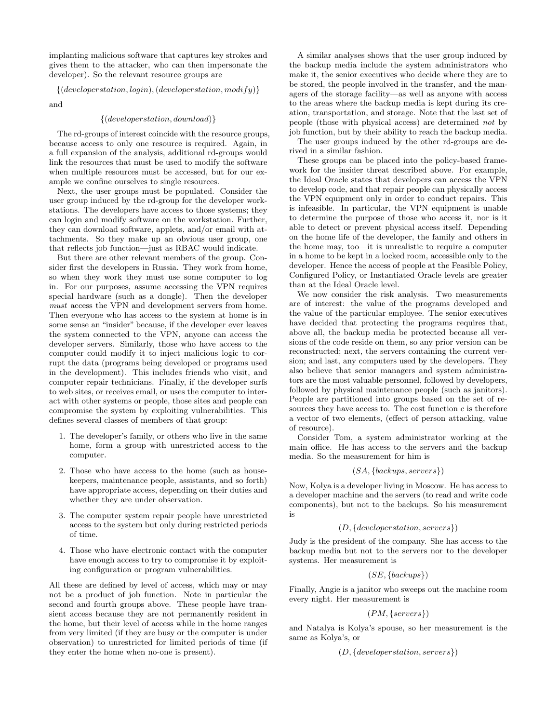implanting malicious software that captures key strokes and gives them to the attacker, who can then impersonate the developer). So the relevant resource groups are

 $\{(development, login), (developmentation, modify)\}$ 

and

#### $\{(developmentation, download)\}$

The rd-groups of interest coincide with the resource groups, because access to only one resource is required. Again, in a full expansion of the analysis, additional rd-groups would link the resources that must be used to modify the software when multiple resources must be accessed, but for our example we confine ourselves to single resources.

Next, the user groups must be populated. Consider the user group induced by the rd-group for the developer workstations. The developers have access to those systems; they can login and modify software on the workstation. Further, they can download software, applets, and/or email with attachments. So they make up an obvious user group, one that reflects job function—just as RBAC would indicate.

But there are other relevant members of the group. Consider first the developers in Russia. They work from home, so when they work they must use some computer to log in. For our purposes, assume accessing the VPN requires special hardware (such as a dongle). Then the developer must access the VPN and development servers from home. Then everyone who has access to the system at home is in some sense an "insider" because, if the developer ever leaves the system connected to the VPN, anyone can access the developer servers. Similarly, those who have access to the computer could modify it to inject malicious logic to corrupt the data (programs being developed or programs used in the development). This includes friends who visit, and computer repair technicians. Finally, if the developer surfs to web sites, or receives email, or uses the computer to interact with other systems or people, those sites and people can compromise the system by exploiting vulnerabilities. This defines several classes of members of that group:

- 1. The developer's family, or others who live in the same home, form a group with unrestricted access to the computer.
- 2. Those who have access to the home (such as housekeepers, maintenance people, assistants, and so forth) have appropriate access, depending on their duties and whether they are under observation.
- 3. The computer system repair people have unrestricted access to the system but only during restricted periods of time.
- 4. Those who have electronic contact with the computer have enough access to try to compromise it by exploiting configuration or program vulnerabilities.

All these are defined by level of access, which may or may not be a product of job function. Note in particular the second and fourth groups above. These people have transient access because they are not permanently resident in the home, but their level of access while in the home ranges from very limited (if they are busy or the computer is under observation) to unrestricted for limited periods of time (if they enter the home when no-one is present).

A similar analyses shows that the user group induced by the backup media include the system administrators who make it, the senior executives who decide where they are to be stored, the people involved in the transfer, and the managers of the storage facility—as well as anyone with access to the areas where the backup media is kept during its creation, transportation, and storage. Note that the last set of people (those with physical access) are determined not by job function, but by their ability to reach the backup media.

The user groups induced by the other rd-groups are derived in a similar fashion.

These groups can be placed into the policy-based framework for the insider threat described above. For example, the Ideal Oracle states that developers can access the VPN to develop code, and that repair people can physically access the VPN equipment only in order to conduct repairs. This is infeasible. In particular, the VPN equipment is unable to determine the purpose of those who access it, nor is it able to detect or prevent physical access itself. Depending on the home life of the developer, the family and others in the home may, too—it is unrealistic to require a computer in a home to be kept in a locked room, accessible only to the developer. Hence the access of people at the Feasible Policy, Configured Policy, or Instantiated Oracle levels are greater than at the Ideal Oracle level.

We now consider the risk analysis. Two measurements are of interest: the value of the programs developed and the value of the particular employee. The senior executives have decided that protecting the programs requires that, above all, the backup media be protected because all versions of the code reside on them, so any prior version can be reconstructed; next, the servers containing the current version; and last, any computers used by the developers. They also believe that senior managers and system administrators are the most valuable personnel, followed by developers, followed by physical maintenance people (such as janitors). People are partitioned into groups based on the set of resources they have access to. The cost function  $c$  is therefore a vector of two elements, (effect of person attacking, value of resource).

Consider Tom, a system administrator working at the main office. He has access to the servers and the backup media. So the measurement for him is

$$
(SA, \{backups, servers\})
$$

Now, Kolya is a developer living in Moscow. He has access to a developer machine and the servers (to read and write code components), but not to the backups. So his measurement is

#### (D, {developerstation, servers})

Judy is the president of the company. She has access to the backup media but not to the servers nor to the developer systems. Her measurement is

$$
(SE, \{backups\})
$$

Finally, Angie is a janitor who sweeps out the machine room every night. Her measurement is

$$
(PM, \{servers\})
$$

and Natalya is Kolya's spouse, so her measurement is the same as Kolya's, or

$$
(D, \{developmentation, servers\})
$$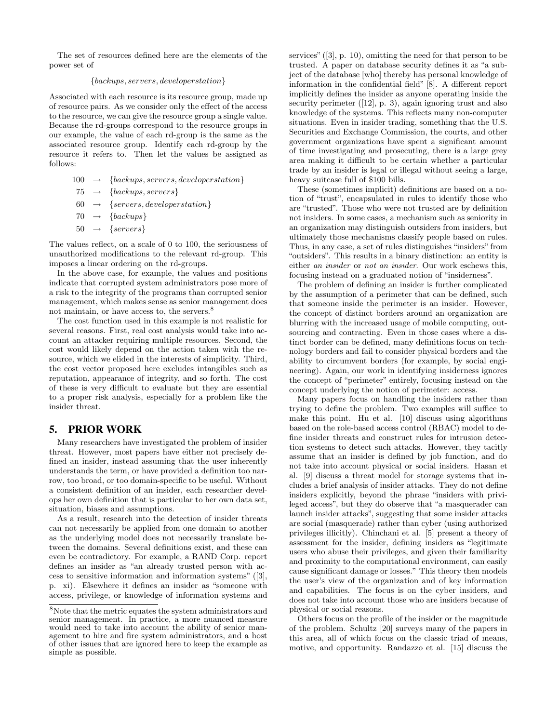The set of resources defined here are the elements of the power set of

#### {backups, servers, developerstation}

Associated with each resource is its resource group, made up of resource pairs. As we consider only the effect of the access to the resource, we can give the resource group a single value. Because the rd-groups correspond to the resource groups in our example, the value of each rd-group is the same as the associated resource group. Identify each rd-group by the resource it refers to. Then let the values be assigned as follows:

- $100 \rightarrow \{backups, servers, developmentation\}$
- $75 \rightarrow \{backups, servers\}$
- $60 \rightarrow \{servers, developmentation\}$
- $70 \rightarrow \{backups\}$
- $50 \rightarrow \{servers\}$

The values reflect, on a scale of 0 to 100, the seriousness of unauthorized modifications to the relevant rd-group. This imposes a linear ordering on the rd-groups.

In the above case, for example, the values and positions indicate that corrupted system administrators pose more of a risk to the integrity of the programs than corrupted senior management, which makes sense as senior management does not maintain, or have access to, the servers.<sup>8</sup>

The cost function used in this example is not realistic for several reasons. First, real cost analysis would take into account an attacker requiring multiple resources. Second, the cost would likely depend on the action taken with the resource, which we elided in the interests of simplicity. Third, the cost vector proposed here excludes intangibles such as reputation, appearance of integrity, and so forth. The cost of these is very difficult to evaluate but they are essential to a proper risk analysis, especially for a problem like the insider threat.

#### 5. PRIOR WORK

Many researchers have investigated the problem of insider threat. However, most papers have either not precisely defined an insider, instead assuming that the user inherently understands the term, or have provided a definition too narrow, too broad, or too domain-specific to be useful. Without a consistent definition of an insider, each researcher develops her own definition that is particular to her own data set, situation, biases and assumptions.

As a result, research into the detection of insider threats can not necessarily be applied from one domain to another as the underlying model does not necessarily translate between the domains. Several definitions exist, and these can even be contradictory. For example, a RAND Corp. report defines an insider as "an already trusted person with access to sensitive information and information systems" ([3], p. xi). Elsewhere it defines an insider as "someone with access, privilege, or knowledge of information systems and

services" ([3], p. 10), omitting the need for that person to be trusted. A paper on database security defines it as "a subject of the database [who] thereby has personal knowledge of information in the confidential field" [8]. A different report implicitly defines the insider as anyone operating inside the security perimeter ([12], p. 3), again ignoring trust and also knowledge of the systems. This reflects many non-computer situations. Even in insider trading, something that the U.S. Securities and Exchange Commission, the courts, and other government organizations have spent a significant amount of time investigating and prosecuting, there is a large grey area making it difficult to be certain whether a particular trade by an insider is legal or illegal without seeing a large, heavy suitcase full of \$100 bills.

These (sometimes implicit) definitions are based on a notion of "trust", encapsulated in rules to identify those who are "trusted". Those who were not trusted are by definition not insiders. In some cases, a mechanism such as seniority in an organization may distinguish outsiders from insiders, but ultimately those mechanisms classify people based on rules. Thus, in any case, a set of rules distinguishes "insiders" from "outsiders". This results in a binary distinction: an entity is either an insider or not an insider. Our work eschews this, focusing instead on a graduated notion of "insiderness".

The problem of defining an insider is further complicated by the assumption of a perimeter that can be defined, such that someone inside the perimeter is an insider. However, the concept of distinct borders around an organization are blurring with the increased usage of mobile computing, outsourcing and contracting. Even in those cases where a distinct border can be defined, many definitions focus on technology borders and fail to consider physical borders and the ability to circumvent borders (for example, by social engineering). Again, our work in identifying insiderness ignores the concept of "perimeter" entirely, focusing instead on the concept underlying the notion of perimeter: access.

Many papers focus on handling the insiders rather than trying to define the problem. Two examples will suffice to make this point. Hu et al. [10] discuss using algorithms based on the role-based access control (RBAC) model to define insider threats and construct rules for intrusion detection systems to detect such attacks. However, they tacitly assume that an insider is defined by job function, and do not take into account physical or social insiders. Hasan et al. [9] discuss a threat model for storage systems that includes a brief analysis of insider attacks. They do not define insiders explicitly, beyond the phrase "insiders with privileged access", but they do observe that "a masquerader can launch insider attacks", suggesting that some insider attacks are social (masquerade) rather than cyber (using authorized privileges illicitly). Chinchani et al. [5] present a theory of assessment for the insider, defining insiders as "legitimate users who abuse their privileges, and given their familiarity and proximity to the computational environment, can easily cause significant damage or losses." This theory then models the user's view of the organization and of key information and capabilities. The focus is on the cyber insiders, and does not take into account those who are insiders because of physical or social reasons.

Others focus on the profile of the insider or the magnitude of the problem. Schultz [20] surveys many of the papers in this area, all of which focus on the classic triad of means, motive, and opportunity. Randazzo et al. [15] discuss the

 ${}^{8}\mathrm{Note}$  that the metric equates the system administrators and senior management. In practice, a more nuanced measure would need to take into account the ability of senior management to hire and fire system administrators, and a host of other issues that are ignored here to keep the example as simple as possible.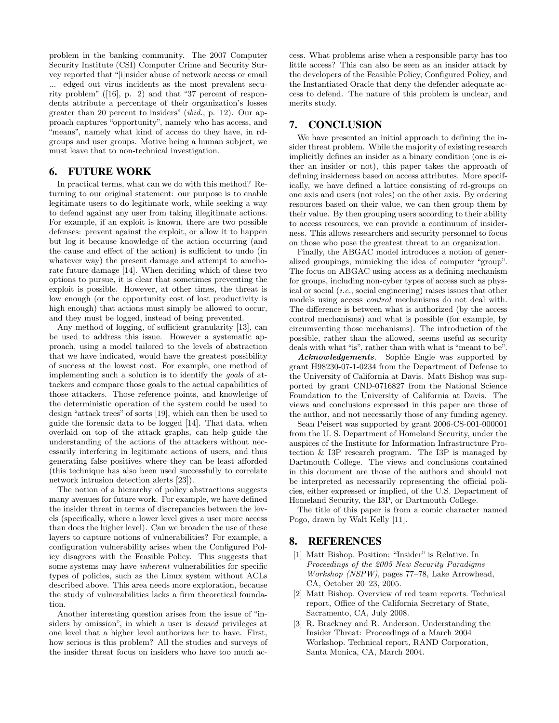problem in the banking community. The 2007 Computer Security Institute (CSI) Computer Crime and Security Survey reported that "[i]nsider abuse of network access or email ... edged out virus incidents as the most prevalent security problem" ([16], p. 2) and that "37 percent of respondents attribute a percentage of their organization's losses greater than 20 percent to insiders" (ibid., p. 12). Our approach captures "opportunity", namely who has access, and "means", namely what kind of access do they have, in rdgroups and user groups. Motive being a human subject, we must leave that to non-technical investigation.

### 6. FUTURE WORK

In practical terms, what can we do with this method? Returning to our original statement: our purpose is to enable legitimate users to do legitimate work, while seeking a way to defend against any user from taking illegitimate actions. For example, if an exploit is known, there are two possible defenses: prevent against the exploit, or allow it to happen but log it because knowledge of the action occurring (and the cause and effect of the action) is sufficient to undo (in whatever way) the present damage and attempt to ameliorate future damage [14]. When deciding which of these two options to pursue, it is clear that sometimes preventing the exploit is possible. However, at other times, the threat is low enough (or the opportunity cost of lost productivity is high enough) that actions must simply be allowed to occur, and they must be logged, instead of being prevented.

Any method of logging, of sufficient granularity [13], can be used to address this issue. However a systematic approach, using a model tailored to the levels of abstraction that we have indicated, would have the greatest possibility of success at the lowest cost. For example, one method of implementing such a solution is to identify the goals of attackers and compare those goals to the actual capabilities of those attackers. Those reference points, and knowledge of the deterministic operation of the system could be used to design "attack trees" of sorts [19], which can then be used to guide the forensic data to be logged [14]. That data, when overlaid on top of the attack graphs, can help guide the understanding of the actions of the attackers without necessarily interfering in legitimate actions of users, and thus generating false positives where they can be least afforded (this technique has also been used successfully to correlate network intrusion detection alerts [23]).

The notion of a hierarchy of policy abstractions suggests many avenues for future work. For example, we have defined the insider threat in terms of discrepancies between the levels (specifically, where a lower level gives a user more access than does the higher level). Can we broaden the use of these layers to capture notions of vulnerabilities? For example, a configuration vulnerability arises when the Configured Policy disagrees with the Feasible Policy. This suggests that some systems may have inherent vulnerabilities for specific types of policies, such as the Linux system without ACLs described above. This area needs more exploration, because the study of vulnerabilities lacks a firm theoretical foundation.

Another interesting question arises from the issue of "insiders by omission", in which a user is *denied* privileges at one level that a higher level authorizes her to have. First, how serious is this problem? All the studies and surveys of the insider threat focus on insiders who have too much access. What problems arise when a responsible party has too little access? This can also be seen as an insider attack by the developers of the Feasible Policy, Configured Policy, and the Instantiated Oracle that deny the defender adequate access to defend. The nature of this problem is unclear, and merits study.

# 7. CONCLUSION

We have presented an initial approach to defining the insider threat problem. While the majority of existing research implicitly defines an insider as a binary condition (one is either an insider or not), this paper takes the approach of defining insiderness based on access attributes. More specifically, we have defined a lattice consisting of rd-groups on one axis and users (not roles) on the other axis. By ordering resources based on their value, we can then group them by their value. By then grouping users according to their ability to access resources, we can provide a continuum of insiderness. This allows researchers and security personnel to focus on those who pose the greatest threat to an organization.

Finally, the ABGAC model introduces a notion of generalized groupings, mimicking the idea of computer "group". The focus on ABGAC using access as a defining mechanism for groups, including non-cyber types of access such as physical or social (i.e., social engineering) raises issues that other models using access control mechanisms do not deal with. The difference is between what is authorized (by the access control mechanisms) and what is possible (for example, by circumventing those mechanisms). The introduction of the possible, rather than the allowed, seems useful as security deals with what "is", rather than with what is "meant to be".

Acknowledgements. Sophie Engle was supported by grant H98230-07-1-0234 from the Department of Defense to the University of California at Davis. Matt Bishop was supported by grant CND-0716827 from the National Science Foundation to the University of California at Davis. The views and conclusions expressed in this paper are those of the author, and not necessarily those of any funding agency.

Sean Peisert was supported by grant 2006-CS-001-000001 from the U. S. Department of Homeland Security, under the auspices of the Institute for Information Infrastructure Protection & I3P research program. The I3P is managed by Dartmouth College. The views and conclusions contained in this document are those of the authors and should not be interpreted as necessarily representing the official policies, either expressed or implied, of the U.S. Department of Homeland Security, the I3P, or Dartmouth College.

The title of this paper is from a comic character named Pogo, drawn by Walt Kelly [11].

# 8. REFERENCES

- [1] Matt Bishop. Position: "Insider" is Relative. In Proceedings of the 2005 New Security Paradigms Workshop (NSPW), pages 77–78, Lake Arrowhead, CA, October 20–23, 2005.
- [2] Matt Bishop. Overview of red team reports. Technical report, Office of the California Secretary of State, Sacramento, CA, July 2008.
- [3] R. Brackney and R. Anderson. Understanding the Insider Threat: Proceedings of a March 2004 Workshop. Technical report, RAND Corporation, Santa Monica, CA, March 2004.